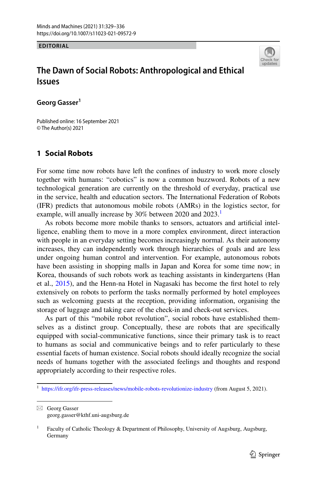**EDITORIAL**



# **The Dawn of Social Robots: Anthropological and Ethical Issues**

Georg Gasser<sup>1</sup>

Published online: 16 September 2021 © The Author(s) 2021

## **1 Social Robots**

For some time now robots have left the confnes of industry to work more closely together with humans: "cobotics" is now a common buzzword. Robots of a new technological generation are currently on the threshold of everyday, practical use in the service, health and education sectors. The International Federation of Robots (IFR) predicts that autonomous mobile robots (AMRs) in the logistics sector, for example, will anually increase by 30% between 2020 and 2023.

As robots become more mobile thanks to sensors, actuators and artifcial intelligence, enabling them to move in a more complex environment, direct interaction with people in an everyday setting becomes increasingly normal. As their autonomy increases, they can independently work through hierarchies of goals and are less under ongoing human control and intervention. For example, autonomous robots have been assisting in shopping malls in Japan and Korea for some time now; in Korea, thousands of such robots work as teaching assistants in kindergartens (Han et al., [2015\)](#page-7-0), and the Henn-na Hotel in Nagasaki has become the frst hotel to rely extensively on robots to perform the tasks normally performed by hotel employees such as welcoming guests at the reception, providing information, organising the storage of luggage and taking care of the check-in and check-out services.

As part of this "mobile robot revolution", social robots have established themselves as a distinct group. Conceptually, these are robots that are specifcally equipped with social-communicative functions, since their primary task is to react to humans as social and communicative beings and to refer particularly to these essential facets of human existence. Social robots should ideally recognize the social needs of humans together with the associated feelings and thoughts and respond appropriately according to their respective roles.

 $\boxtimes$  Georg Gasser georg.gasser@kthf.uni-augsburg.de

<span id="page-0-0"></span><sup>&</sup>lt;sup>1</sup> <https://ifr.org/ifr-press-releases/news/mobile-robots-revolutionize-industry> (from August 5, 2021).

<sup>&</sup>lt;sup>1</sup> Faculty of Catholic Theology & Department of Philosophy, University of Augsburg, Augsburg, Germany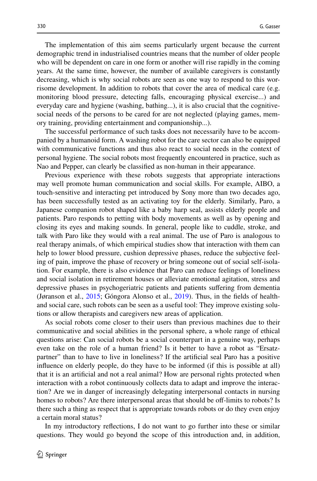The implementation of this aim seems particularly urgent because the current demographic trend in industrialised countries means that the number of older people who will be dependent on care in one form or another will rise rapidly in the coming years. At the same time, however, the number of available caregivers is constantly decreasing, which is why social robots are seen as one way to respond to this worrisome development. In addition to robots that cover the area of medical care (e.g. monitoring blood pressure, detecting falls, encouraging physical exercise...) and everyday care and hygiene (washing, bathing...), it is also crucial that the cognitivesocial needs of the persons to be cared for are not neglected (playing games, memory training, providing entertainment and companionship...).

The successful performance of such tasks does not necessarily have to be accompanied by a humanoid form. A washing robot for the care sector can also be equipped with communicative functions and thus also react to social needs in the context of personal hygiene. The social robots most frequently encountered in practice, such as Nao and Pepper, can clearly be classifed as non-human in their appearance.

Previous experience with these robots suggests that appropriate interactions may well promote human communication and social skills. For example, AIBO, a touch-sensitive and interacting pet introduced by Sony more than two decades ago, has been successfully tested as an activating toy for the elderly. Similarly, Paro, a Japanese companion robot shaped like a baby harp seal, assists elderly people and patients. Paro responds to petting with body movements as well as by opening and closing its eyes and making sounds. In general, people like to cuddle, stroke, and talk with Paro like they would with a real animal. The use of Paro is analogous to real therapy animals, of which empirical studies show that interaction with them can help to lower blood pressure, cushion depressive phases, reduce the subjective feeling of pain, improve the phase of recovery or bring someone out of social self-isolation. For example, there is also evidence that Paro can reduce feelings of loneliness and social isolation in retirement houses or alleviate emotional agitation, stress and depressive phases in psychogeriatric patients and patients sufering from dementia (Jøranson et al., [2015](#page-7-1); Góngora Alonso et al., [2019\)](#page-6-0). Thus, in the felds of healthand social care, such robots can be seen as a useful tool: They improve existing solutions or allow therapists and caregivers new areas of application.

As social robots come closer to their users than previous machines due to their communicative and social abilities in the personal sphere, a whole range of ethical questions arise: Can social robots be a social counterpart in a genuine way, perhaps even take on the role of a human friend? Is it better to have a robot as "Ersatzpartner" than to have to live in loneliness? If the artifcial seal Paro has a positive infuence on elderly people, do they have to be informed (if this is possible at all) that it is an artifcial and not a real animal? How are personal rights protected when interaction with a robot continuously collects data to adapt and improve the interaction? Are we in danger of increasingly delegating interpersonal contacts in nursing homes to robots? Are there interpersonal areas that should be off-limits to robots? Is there such a thing as respect that is appropriate towards robots or do they even enjoy a certain moral status?

In my introductory refections, I do not want to go further into these or similar questions. They would go beyond the scope of this introduction and, in addition,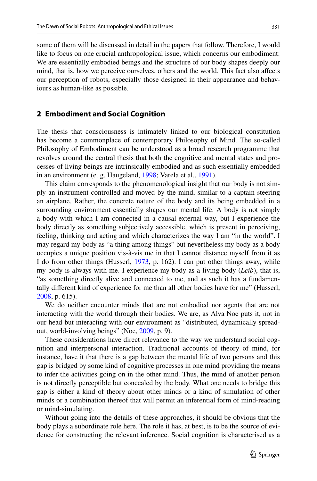some of them will be discussed in detail in the papers that follow. Therefore, I would like to focus on one crucial anthropological issue, which concerns our embodiment: We are essentially embodied beings and the structure of our body shapes deeply our mind, that is, how we perceive ourselves, others and the world. This fact also afects our perception of robots, especially those designed in their appearance and behaviours as human-like as possible.

#### **2 Embodiment and Social Cognition**

The thesis that consciousness is intimately linked to our biological constitution has become a commonplace of contemporary Philosophy of Mind. The so-called Philosophy of Embodiment can be understood as a broad research programme that revolves around the central thesis that both the cognitive and mental states and processes of living beings are intrinsically embodied and as such essentially embedded in an environment (e. g. Haugeland, [1998;](#page-7-2) Varela et al., [1991\)](#page-7-3).

This claim corresponds to the phenomenological insight that our body is not simply an instrument controlled and moved by the mind, similar to a captain steering an airplane. Rather, the concrete nature of the body and its being embedded in a surrounding environment essentially shapes our mental life. A body is not simply a body with which I am connected in a causal-external way, but I experience the body directly as something subjectively accessible, which is present in perceiving, feeling, thinking and acting and which characterizes the way I am "in the world". I may regard my body as "a thing among things" but nevertheless my body as a body occupies a unique position vis-à-vis me in that I cannot distance myself from it as I do from other things (Husserl, [1973](#page-7-4), p. 162). I can put other things away, while my body is always with me. I experience my body as a living body (*Leib*), that is, "as something directly alive and connected to me, and as such it has a fundamentally diferent kind of experience for me than all other bodies have for me" (Husserl, [2008](#page-7-5), p. 615).

We do neither encounter minds that are not embodied nor agents that are not interacting with the world through their bodies. We are, as Alva Noe puts it, not in our head but interacting with our environment as "distributed, dynamically spreadout, world-involving beings" (Noe, [2009](#page-7-6), p. 9).

These considerations have direct relevance to the way we understand social cognition and interpersonal interaction. Traditional accounts of theory of mind, for instance, have it that there is a gap between the mental life of two persons and this gap is bridged by some kind of cognitive processes in one mind providing the means to infer the activities going on in the other mind. Thus, the mind of another person is not directly perceptible but concealed by the body. What one needs to bridge this gap is either a kind of theory about other minds or a kind of simulation of other minds or a combination thereof that will permit an inferential form of mind-reading or mind-simulating.

Without going into the details of these approaches, it should be obvious that the body plays a subordinate role here. The role it has, at best, is to be the source of evidence for constructing the relevant inference. Social cognition is characterised as a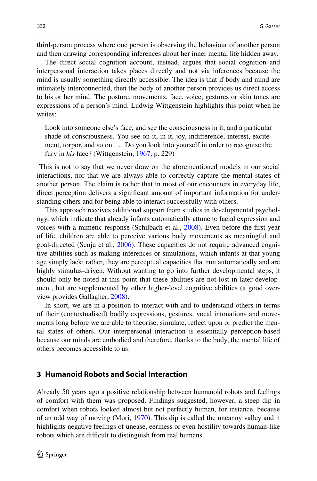third-person process where one person is observing the behaviour of another person and then drawing corresponding inferences about her inner mental life hidden away.

The direct social cognition account, instead, argues that social cognition and interpersonal interaction takes places directly and not via inferences because the mind is usually something directly accessible. The idea is that if body and mind are intimately interconnected, then the body of another person provides us direct access to his or her mind: The posture, movements, face, voice, gestures or skin tones are expressions of a person's mind. Ludwig Wittgenstein highlights this point when he writes:

Look into someone else's face, and see the consciousness in it, and a particular shade of consciousness. You see on it, in it, joy, indiference, interest, excitement, torpor, and so on. … Do you look into yourself in order to recognise the fury in *his* face? (Wittgenstein, [1967,](#page-7-7) p. 229)

 This is not to say that we never draw on the aforementioned models in our social interactions, nor that we are always able to correctly capture the mental states of another person. The claim is rather that in most of our encounters in everyday life, direct perception delivers a signifcant amount of important information for understanding others and for being able to interact successfully with others.

This approach receives additional support from studies in developmental psychology, which indicate that already infants automatically attune to facial expression and voices with a mimetic response (Schilbach et al., [2008](#page-7-8)). Even before the frst year of life, children are able to perceive various body movements as meaningful and goal-directed (Senju et al., [2006](#page-7-9)). These capacities do not require advanced cognitive abilities such as making inferences or simulations, which infants at that young age simply lack; rather, they are perceptual capacities that run automatically and are highly stimulus-driven. Without wanting to go into further developmental steps, it should only be noted at this point that these abilities are not lost in later development, but are supplemented by other higher-level cognitive abilities (a good overview provides Gallagher, [2008\)](#page-6-1).

In short, we are in a position to interact with and to understand others in terms of their (contextualised) bodily expressions, gestures, vocal intonations and movements long before we are able to theorise, simulate, refect upon or predict the mental states of others. Our interpersonal interaction is essentially perception-based because our minds are embodied and therefore, thanks to the body, the mental life of others becomes accessible to us.

#### **3 Humanoid Robots and Social Interaction**

Already 50 years ago a positive relationship between humanoid robots and feelings of comfort with them was proposed. Findings suggested, however, a steep dip in comfort when robots looked almost but not perfectly human, for instance, because of an odd way of moving (Mori, [1970](#page-7-10)). This dip is called the uncanny valley and it highlights negative feelings of unease, eeriness or even hostility towards human-like robots which are difficult to distinguish from real humans.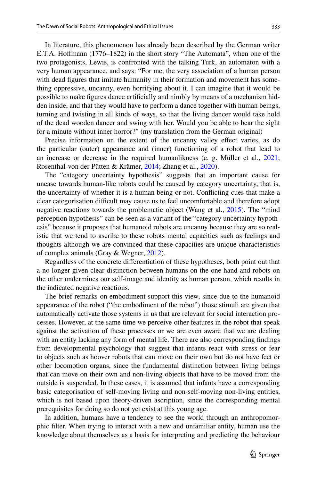In literature, this phenomenon has already been described by the German writer E.T.A. Hofmann (1776–1822) in the short story "The Automata", when one of the two protagonists, Lewis, is confronted with the talking Turk, an automaton with a very human appearance, and says: "For me, the very association of a human person with dead fgures that imitate humanity in their formation and movement has something oppressive, uncanny, even horrifying about it. I can imagine that it would be possible to make fgures dance artifcially and nimbly by means of a mechanism hidden inside, and that they would have to perform a dance together with human beings, turning and twisting in all kinds of ways, so that the living dancer would take hold of the dead wooden dancer and swing with her. Would you be able to bear the sight for a minute without inner horror?" (my translation from the German original)

Precise information on the extent of the uncanny valley efect varies, as do the particular (outer) appearance and (inner) functioning of a robot that lead to an increase or decrease in the required humanlikness (e. g. Müller et al., [2021;](#page-7-11) Rosenthal-von der Pütten & Krämer, [2014](#page-7-12); Zhang et al., [2020\)](#page-7-13).

The "category uncertainty hypothesis" suggests that an important cause for unease towards human-like robots could be caused by category uncertainty, that is, the uncertainty of whether it is a human being or not. Conficting cues that make a clear categorisation difcult may cause us to feel uncomfortable and therefore adopt negative reactions towards the problematic object (Wang et al., [2015\)](#page-7-14). The "mind perception hypothesis" can be seen as a variant of the "category uncertainty hypothesis" because it proposes that humanoid robots are uncanny because they are so realistic that we tend to ascribe to these robots mental capacities such as feelings and thoughts although we are convinced that these capacities are unique characteristics of complex animals (Gray & Wegner, [2012\)](#page-6-2).

Regardless of the concrete diferentiation of these hypotheses, both point out that a no longer given clear distinction between humans on the one hand and robots on the other undermines our self-image and identity as human person, which results in the indicated negative reactions.

The brief remarks on embodiment support this view, since due to the humanoid appearance of the robot ("the embodiment of the robot") those stimuli are given that automatically activate those systems in us that are relevant for social interaction processes. However, at the same time we perceive other features in the robot that speak against the activation of these processes or we are even aware that we are dealing with an entity lacking any form of mental life. There are also corresponding fndings from developmental psychology that suggest that infants react with stress or fear to objects such as hoover robots that can move on their own but do not have feet or other locomotion organs, since the fundamental distinction between living beings that can move on their own and non-living objects that have to be moved from the outside is suspended. In these cases, it is assumed that infants have a corresponding basic categorisation of self-moving living and non-self-moving non-living entities, which is not based upon theory-driven ascription, since the corresponding mental prerequisites for doing so do not yet exist at this young age.

In addition, humans have a tendency to see the world through an anthropomorphic flter. When trying to interact with a new and unfamiliar entity, human use the knowledge about themselves as a basis for interpreting and predicting the behaviour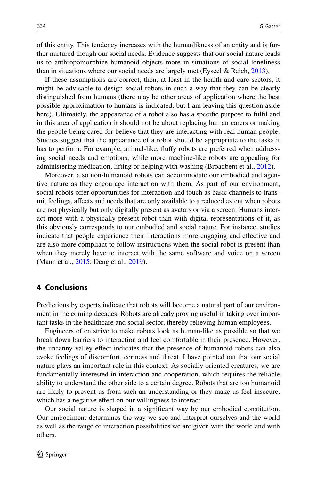of this entity. This tendency increases with the humanlikness of an entity and is further nurtured though our social needs. Evidence suggests that our social nature leads us to anthropomorphize humanoid objects more in situations of social loneliness than in situations where our social needs are largely met (Eyseel & Reich, [2013](#page-6-3)).

If these assumptions are correct, then, at least in the health and care sectors, it might be advisable to design social robots in such a way that they can be clearly distinguished from humans (there may be other areas of application where the best possible approximation to humans is indicated, but I am leaving this question aside here). Ultimately, the appearance of a robot also has a specific purpose to fulfil and in this area of application it should not be about replacing human carers or making the people being cared for believe that they are interacting with real human people. Studies suggest that the appearance of a robot should be appropriate to the tasks it has to perform: For example, animal-like, fufy robots are preferred when addressing social needs and emotions, while more machine-like robots are appealing for administering medication, lifting or helping with washing (Broadbent et al., [2012](#page-6-4)).

Moreover, also non-humanoid robots can accommodate our embodied and agentive nature as they encourage interaction with them. As part of our environment, social robots ofer opportunities for interaction and touch as basic channels to transmit feelings, afects and needs that are only available to a reduced extent when robots are not physically but only digitally present as avatars or via a screen. Humans interact more with a physically present robot than with digital representations of it, as this obviously corresponds to our embodied and social nature. For instance, studies indicate that people experience their interactions more engaging and efective and are also more compliant to follow instructions when the social robot is present than when they merely have to interact with the same software and voice on a screen (Mann et al., [2015;](#page-7-15) Deng et al., [2019](#page-6-5)).

### **4 Conclusions**

Predictions by experts indicate that robots will become a natural part of our environment in the coming decades. Robots are already proving useful in taking over important tasks in the healthcare and social sector, thereby relieving human employees.

Engineers often strive to make robots look as human-like as possible so that we break down barriers to interaction and feel comfortable in their presence. However, the uncanny valley efect indicates that the presence of humanoid robots can also evoke feelings of discomfort, eeriness and threat. I have pointed out that our social nature plays an important role in this context. As socially oriented creatures, we are fundamentally interested in interaction and cooperation, which requires the reliable ability to understand the other side to a certain degree. Robots that are too humanoid are likely to prevent us from such an understanding or they make us feel insecure, which has a negative effect on our willingness to interact.

Our social nature is shaped in a signifcant way by our embodied constitution. Our embodiment determines the way we see and interpret ourselves and the world as well as the range of interaction possibilities we are given with the world and with others.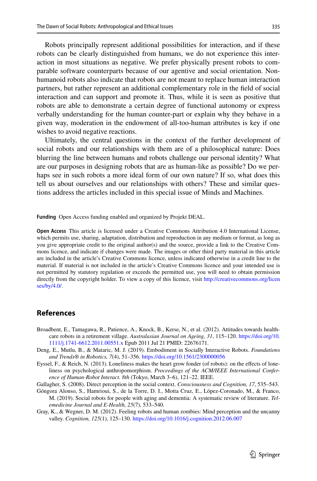Robots principally represent additional possibilities for interaction, and if these robots can be clearly distinguished from humans, we do not experience this interaction in most situations as negative. We prefer physically present robots to comparable software counterparts because of our agentive and social orientation. Nonhumanoid robots also indicate that robots are not meant to replace human interaction partners, but rather represent an additional complementary role in the feld of social interaction and can support and promote it. Thus, while it is seen as positive that robots are able to demonstrate a certain degree of functional autonomy or express verbally understanding for the human counter-part or explain why they behave in a given way, moderation in the endowment of all-too-human attributes is key if one wishes to avoid negative reactions.

Ultimately, the central questions in the context of the further development of social robots and our relationships with them are of a philosophical nature: Does blurring the line between humans and robots challenge our personal identity? What are our purposes in designing robots that are as human-like as possible? Do we perhaps see in such robots a more ideal form of our own nature? If so, what does this tell us about ourselves and our relationships with others? These and similar questions address the articles included in this special issue of Minds and Machines.

**Funding** Open Access funding enabled and organized by Projekt DEAL.

**Open Access** This article is licensed under a Creative Commons Attribution 4.0 International License, which permits use, sharing, adaptation, distribution and reproduction in any medium or format, as long as you give appropriate credit to the original author(s) and the source, provide a link to the Creative Commons licence, and indicate if changes were made. The images or other third party material in this article are included in the article's Creative Commons licence, unless indicated otherwise in a credit line to the material. If material is not included in the article's Creative Commons licence and your intended use is not permitted by statutory regulation or exceeds the permitted use, you will need to obtain permission directly from the copyright holder. To view a copy of this licence, visit [http://creativecommons.org/licen](http://creativecommons.org/licenses/by/4.0/) [ses/by/4.0/](http://creativecommons.org/licenses/by/4.0/).

#### **References**

- <span id="page-6-4"></span>Broadbent, E., Tamagawa, R., Patience, A., Knock, B., Kerse, N., et al. (2012). Attitudes towards healthcare robots in a retirement village. *Australasian Journal on Ageing, 31*, 115–120. [https://doi.org/10.](https://doi.org/10.1111/j.1741-6612.2011.00551.x) [1111/j.1741-6612.2011.00551.x](https://doi.org/10.1111/j.1741-6612.2011.00551.x) Epub 2011 Jul 21 PMID: 22676171.
- <span id="page-6-5"></span>Deng, E., Mutlu, B., & Mataric, M. J. (2019). Embodiment in Socially Interactive Robots. *Foundations and Trends® in Robotics, 7*(4), 51–356. <https://doi.org/10.1561/2300000056>
- <span id="page-6-3"></span>Eyssel, F., & Reich, N. (2013). Loneliness makes the heart grow fonder (of robots): on the efects of loneliness on psychological anthropomorphism. *Proceedings of the ACM/IEEE International Conference of Human-Robot Interact. 8th* (Tokyo, March 3–6), 121–22. IEEE.
- <span id="page-6-1"></span>Gallagher, S. (2008). Direct perception in the social context. *Consciousness and Cognition, 17*, 535–543.
- <span id="page-6-0"></span>Góngora Alonso, S., Hamrioui, S., de la Torre, D. I., Motta Cruz, E., López-Coronado, M., & Franco, M. (2019). Social robots for people with aging and dementia: A systematic review of literature. *Telemedicine Journal and E-Health, 25*(7), 533–540.
- <span id="page-6-2"></span>Gray, K., & Wegner, D. M. (2012). Feeling robots and human zombies: Mind perception and the uncanny valley. *Cognition, 125*(1), 125–130.<https://doi.org/10.1016/j.cognition.2012.06.007>